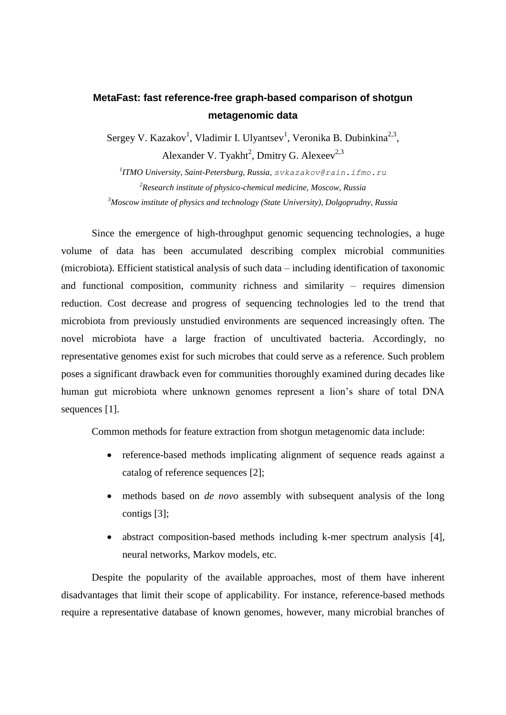## **MetaFast: fast reference-free graph-based comparison of shotgun metagenomic data**

Sergey V. Kazakov<sup>1</sup>, Vladimir I. Ulyantsev<sup>1</sup>, Veronika B. Dubinkina<sup>2,3</sup>, Alexander V. Tyakht<sup>2</sup>, Dmitry G. Alexeev<sup>2,3</sup>

*1 ITMO University, Saint-Petersburg, Russia, svkazakov@rain.ifmo.ru <sup>2</sup>Research institute of physico-chemical medicine, Moscow, Russia <sup>3</sup>Moscow institute of physics and technology (State University), Dolgoprudny, Russia*

Since the emergence of high-throughput genomic sequencing technologies, a huge volume of data has been accumulated describing complex microbial communities (microbiota). Efficient statistical analysis of such data – including identification of taxonomic and functional composition, community richness and similarity – requires dimension reduction. Cost decrease and progress of sequencing technologies led to the trend that microbiota from previously unstudied environments are sequenced increasingly often. The novel microbiota have a large fraction of uncultivated bacteria. Accordingly, no representative genomes exist for such microbes that could serve as a reference. Such problem poses a significant drawback even for communities thoroughly examined during decades like human gut microbiota where unknown genomes represent a lion's share of total DNA sequences [1].

Common methods for feature extraction from shotgun metagenomic data include:

- reference-based methods implicating alignment of sequence reads against a catalog of reference sequences [2];
- methods based on *de novo* assembly with subsequent analysis of the long contigs [3];
- abstract composition-based methods including k-mer spectrum analysis [4], neural networks, Markov models, etc.

Despite the popularity of the available approaches, most of them have inherent disadvantages that limit their scope of applicability. For instance, reference-based methods require a representative database of known genomes, however, many microbial branches of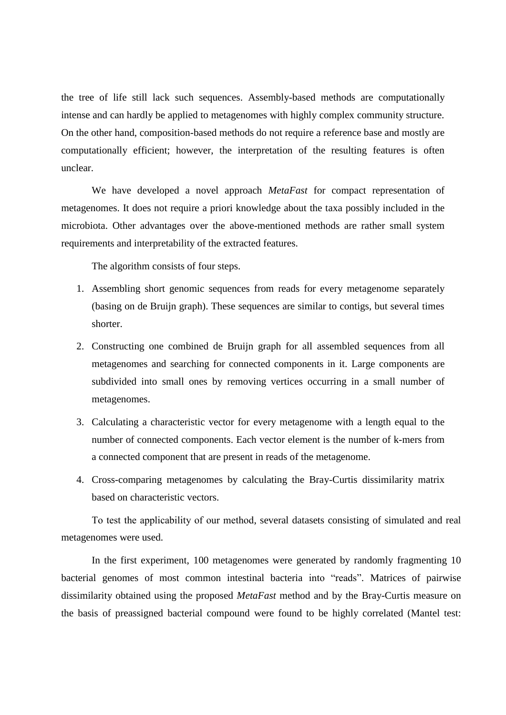the tree of life still lack such sequences. Assembly-based methods are computationally intense and can hardly be applied to metagenomes with highly complex community structure. On the other hand, composition-based methods do not require a reference base and mostly are computationally efficient; however, the interpretation of the resulting features is often unclear.

We have developed a novel approach *MetaFast* for compact representation of metagenomes. It does not require a priori knowledge about the taxa possibly included in the microbiota. Other advantages over the above-mentioned methods are rather small system requirements and interpretability of the extracted features.

The algorithm consists of four steps.

- 1. Assembling short genomic sequences from reads for every metagenome separately (basing on de Bruijn graph). These sequences are similar to contigs, but several times shorter.
- 2. Constructing one combined de Bruijn graph for all assembled sequences from all metagenomes and searching for connected components in it. Large components are subdivided into small ones by removing vertices occurring in a small number of metagenomes.
- 3. Calculating a characteristic vector for every metagenome with a length equal to the number of connected components. Each vector element is the number of k-mers from a connected component that are present in reads of the metagenome.
- 4. Cross-comparing metagenomes by calculating the Bray-Curtis dissimilarity matrix based on characteristic vectors.

Тo test the applicability of our method, several datasets consisting of simulated and real metagenomes were used.

In the first experiment, 100 metagenomes were generated by randomly fragmenting 10 bacterial genomes of most common intestinal bacteria into "reads". Matrices of pairwise dissimilarity obtained using the proposed *MetaFast* method and by the Bray-Curtis measure on the basis of preassigned bacterial compound were found to be highly correlated (Mantel test: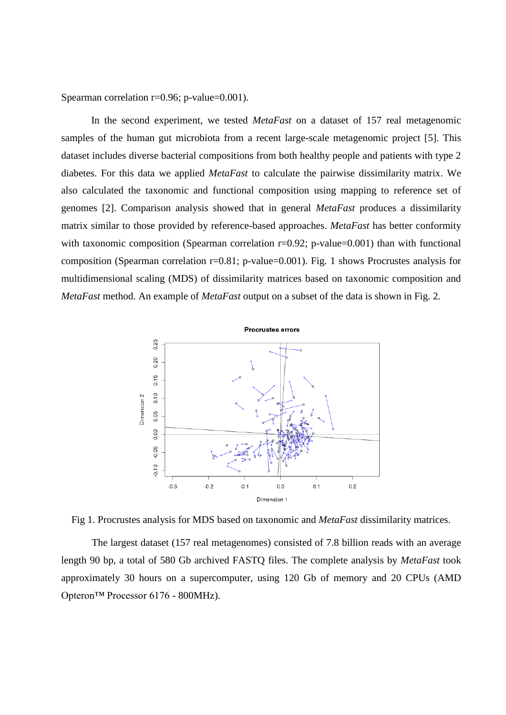Spearman correlation r=0.96; p-value=0.001).

In the second experiment, we tested *MetaFast* on a dataset of 157 real metagenomic samples of the human gut microbiota from a recent large-scale metagenomic project [5]. This dataset includes diverse bacterial compositions from both healthy people and patients with type 2 diabetes. For this data we applied *MetaFast* to calculate the pairwise dissimilarity matrix. We also calculated the taxonomic and functional composition using mapping to reference set of genomes [2]. Comparison analysis showed that in general *MetaFast* produces a dissimilarity matrix similar to those provided by reference-based approaches. *MetaFast* has better conformity with taxonomic composition (Spearman correlation r=0.92; p-value=0.001) than with functional composition (Spearman correlation r=0.81; p-value=0.001). Fig. 1 shows Procrustes analysis for multidimensional scaling (MDS) of dissimilarity matrices based on taxonomic composition and *MetaFast* method. An example of *MetaFast* output on a subset of the data is shown in Fig. 2.



Fig 1. Procrustes analysis for MDS based on taxonomic and *MetaFast* dissimilarity matrices.

The largest dataset (157 real metagenomes) consisted of 7.8 billion reads with an average length 90 bp, a total of 580 Gb archived FASTQ files. The complete analysis by *MetaFast* took approximately 30 hours on a supercomputer, using 120 Gb of memory and 20 CPUs (AMD Opteron™ Processor 6176 - 800MHz).